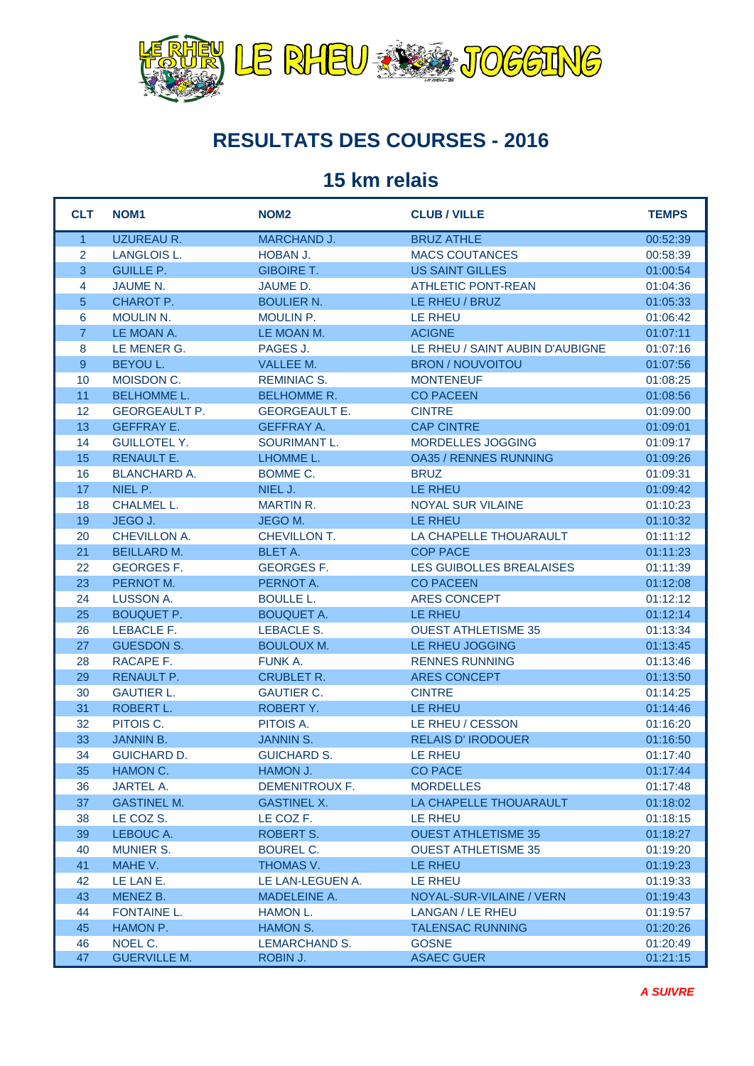

## **RESULTATS DES COURSES - 2016**

## **15 km relais**

| <b>CLT</b>     | NOM <sub>1</sub>               | NOM <sub>2</sub>              | <b>CLUB / VILLE</b>             | <b>TEMPS</b>         |
|----------------|--------------------------------|-------------------------------|---------------------------------|----------------------|
| $\overline{1}$ | <b>UZUREAU R.</b>              | <b>MARCHAND J.</b>            | <b>BRUZ ATHLE</b>               | 00:52:39             |
| 2              | LANGLOIS L.                    | HOBAN J.                      | <b>MACS COUTANCES</b>           | 00:58:39             |
| 3              | <b>GUILLE P.</b>               | <b>GIBOIRE T.</b>             | <b>US SAINT GILLES</b>          | 01:00:54             |
| $\overline{4}$ | JAUME N.                       | JAUME D.                      | <b>ATHLETIC PONT-REAN</b>       | 01:04:36             |
| $\sqrt{5}$     | CHAROT P.                      | <b>BOULIER N.</b>             | LE RHEU / BRUZ                  | 01:05:33             |
| 6              | <b>MOULIN N.</b>               | MOULIN P.                     | LE RHEU                         | 01:06:42             |
| $\overline{7}$ | LE MOAN A.                     | LE MOAN M.                    | <b>ACIGNE</b>                   | 01:07:11             |
| 8              | LE MENER G.                    | PAGES J.                      | LE RHEU / SAINT AUBIN D'AUBIGNE | 01:07:16             |
| 9              | <b>BEYOU L.</b>                | VALLEE M.                     | <b>BRON / NOUVOITOU</b>         | 01:07:56             |
| 10             | MOISDON C.                     | <b>REMINIAC S.</b>            | <b>MONTENEUF</b>                | 01:08:25             |
| 11             | <b>BELHOMME L.</b>             | <b>BELHOMME R.</b>            | <b>CO PACEEN</b>                | 01:08:56             |
| 12             | <b>GEORGEAULT P.</b>           | <b>GEORGEAULT E.</b>          | <b>CINTRE</b>                   | 01:09:00             |
| 13             | <b>GEFFRAY E.</b>              | <b>GEFFRAY A.</b>             | <b>CAP CINTRE</b>               | 01:09:01             |
| 14             | <b>GUILLOTEL Y.</b>            | <b>SOURIMANT L.</b>           | MORDELLES JOGGING               | 01:09:17             |
| 15             | RENAULT E.                     | LHOMME L.                     | <b>OA35 / RENNES RUNNING</b>    | 01:09:26             |
| 16             | <b>BLANCHARD A.</b>            | BOMME C.                      | <b>BRUZ</b>                     | 01:09:31             |
| 17             | NIEL P.                        | NIEL J.                       | LE RHEU                         | 01:09:42             |
| 18             | CHALMEL L.                     | <b>MARTIN R.</b>              | <b>NOYAL SUR VILAINE</b>        | 01:10:23             |
| 19             | JEGO J.                        | JEGO M.                       | LE RHEU                         | 01:10:32             |
| 20             | CHEVILLON A.                   | CHEVILLON T.                  | LA CHAPELLE THOUARAULT          | 01:11:12             |
| 21             | <b>BEILLARD M.</b>             | <b>BLET A.</b>                | <b>COP PACE</b>                 | 01:11:23             |
| 22             | <b>GEORGES F.</b>              | <b>GEORGES F.</b>             | LES GUIBOLLES BREALAISES        | 01:11:39             |
| 23             | PERNOT M.                      | PERNOT A.                     | <b>CO PACEEN</b>                | 01:12:08             |
| 24             | LUSSON A.                      | <b>BOULLE L.</b>              | <b>ARES CONCEPT</b>             | 01:12:12             |
| 25             | <b>BOUQUET P.</b>              | <b>BOUQUET A.</b>             | <b>LE RHEU</b>                  | 01:12:14             |
| 26             | LEBACLE F.                     | LEBACLE S.                    | <b>OUEST ATHLETISME 35</b>      | 01:13:34             |
| 27             | <b>GUESDON S.</b>              | <b>BOULOUX M.</b>             | LE RHEU JOGGING                 | 01:13:45             |
| 28             | RACAPE F.                      | <b>FUNK A.</b>                | <b>RENNES RUNNING</b>           | 01:13:46             |
| 29             | RENAULT P.                     | <b>CRUBLET R.</b>             | <b>ARES CONCEPT</b>             | 01:13:50             |
| 30<br>31       | <b>GAUTIER L.</b><br>ROBERT L. | <b>GAUTIER C.</b><br>ROBERTY. | <b>CINTRE</b><br>LE RHEU        | 01:14:25<br>01:14:46 |
| 32             | PITOIS C.                      | PITOIS A.                     | LE RHEU / CESSON                | 01:16:20             |
| 33             | <b>JANNIN B.</b>               | <b>JANNIN S.</b>              | <b>RELAIS D'IRODOUER</b>        | 01:16:50             |
| 34             | <b>GUICHARD D.</b>             | <b>GUICHARD S.</b>            | LE RHEU                         | 01:17:40             |
| 35             | HAMON C.                       | HAMON J.                      | <b>CO PACE</b>                  | 01:17:44             |
| 36             | JARTEL A.                      | DEMENITROUX F.                | <b>MORDELLES</b>                | 01:17:48             |
| 37             | <b>GASTINEL M.</b>             | <b>GASTINEL X.</b>            | LA CHAPELLE THOUARAULT          | 01:18:02             |
| 38             | LE COZ S.                      | LE COZ F.                     | LE RHEU                         | 01:18:15             |
| 39             | LEBOUC A.                      | ROBERT S.                     | <b>OUEST ATHLETISME 35</b>      | 01:18:27             |
| 40             | <b>MUNIER S.</b>               | BOUREL C.                     | <b>OUEST ATHLETISME 35</b>      | 01:19:20             |
| 41             | MAHE V.                        | THOMAS V.                     | LE RHEU                         | 01:19:23             |
| 42             | LE LAN E.                      | LE LAN-LEGUEN A.              | LE RHEU                         | 01:19:33             |
| 43             | MENEZ B.                       | MADELEINE A.                  | NOYAL-SUR-VILAINE / VERN        | 01:19:43             |
| 44             | FONTAINE L.                    | HAMON L.                      | LANGAN / LE RHEU                | 01:19:57             |
| 45             | HAMON P.                       | HAMON S.                      | <b>TALENSAC RUNNING</b>         | 01:20:26             |
| 46             | NOEL C.                        | <b>LEMARCHAND S.</b>          | <b>GOSNE</b>                    | 01:20:49             |
| 47             | <b>GUERVILLE M.</b>            | ROBIN J.                      | <b>ASAEC GUER</b>               | 01:21:15             |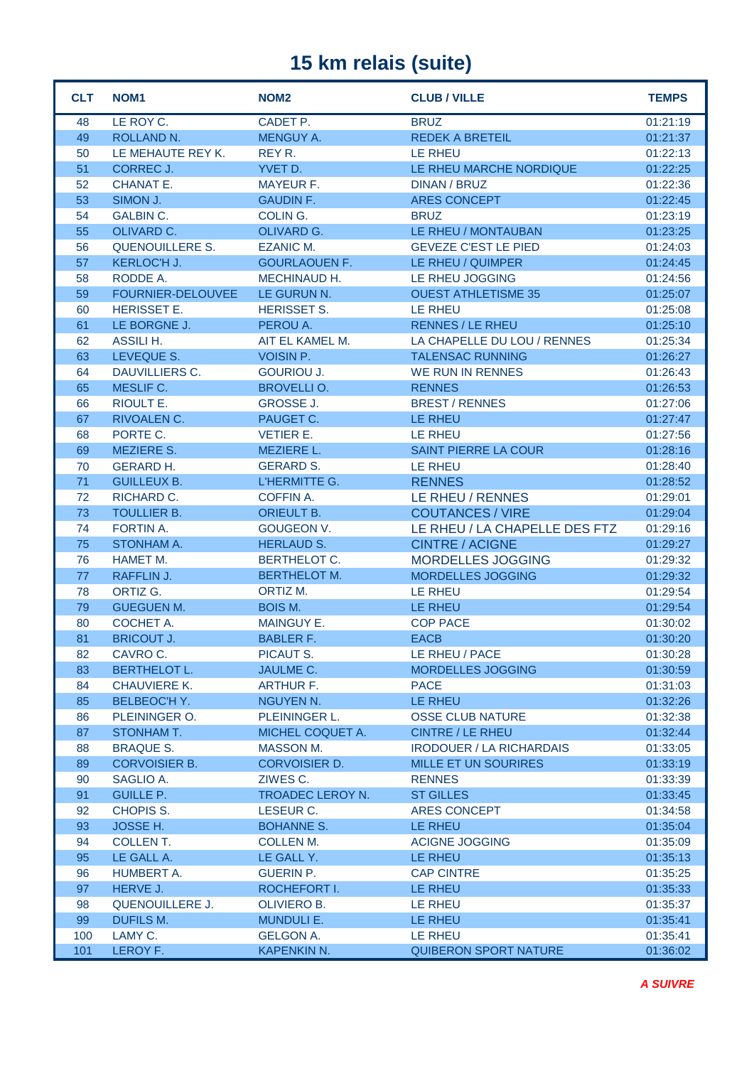## **15 km relais (suite)**

| <b>CLT</b> | NOM <sub>1</sub>                    | NOM <sub>2</sub>              | <b>CLUB / VILLE</b>                     | <b>TEMPS</b>         |
|------------|-------------------------------------|-------------------------------|-----------------------------------------|----------------------|
| 48         | LE ROY C.                           | CADET P.                      | <b>BRUZ</b>                             | 01:21:19             |
| 49         | ROLLAND N.                          | <b>MENGUY A.</b>              | <b>REDEK A BRETEIL</b>                  | 01:21:37             |
| 50         | LE MEHAUTE REY K.                   | REY R.                        | LE RHEU                                 | 01:22:13             |
| 51         | <b>CORREC J.</b>                    | YVET D.                       | LE RHEU MARCHE NORDIQUE                 | 01:22:25             |
| 52         | CHANAT E.                           | <b>MAYEUR F.</b>              | <b>DINAN / BRUZ</b>                     | 01:22:36             |
| 53         | SIMON J.                            | <b>GAUDIN F.</b>              | <b>ARES CONCEPT</b>                     | 01:22:45             |
| 54         | <b>GALBIN C.</b>                    | COLING.                       | <b>BRUZ</b>                             | 01:23:19             |
| 55         | OLIVARD C.                          | OLIVARD G.                    | LE RHEU / MONTAUBAN                     | 01:23:25             |
| 56         | <b>QUENOUILLERE S.</b>              | <b>EZANIC M.</b>              | <b>GEVEZE C'EST LE PIED</b>             | 01:24:03             |
| 57         | KERLOC'H J.                         | <b>GOURLAOUEN F.</b>          | LE RHEU / QUIMPER                       | 01:24:45             |
| 58         | RODDE A.                            | MECHINAUD H.                  | LE RHEU JOGGING                         | 01:24:56             |
| 59         | FOURNIER-DELOUVEE                   | LE GURUN N.                   | <b>OUEST ATHLETISME 35</b>              | 01:25:07             |
| 60         | <b>HERISSET E.</b>                  | <b>HERISSET S.</b>            | <b>LE RHEU</b>                          | 01:25:08             |
| 61         | LE BORGNE J.                        | PEROU A.                      | <b>RENNES / LE RHEU</b>                 | 01:25:10             |
| 62         | <b>ASSILI H.</b>                    | AIT EL KAMEL M.               | LA CHAPELLE DU LOU / RENNES             | 01:25:34             |
| 63         | LEVEQUE S.                          | <b>VOISIN P.</b>              | <b>TALENSAC RUNNING</b>                 | 01:26:27             |
| 64         | <b>DAUVILLIERS C.</b>               | <b>GOURIOU J.</b>             | <b>WE RUN IN RENNES</b>                 | 01:26:43             |
| 65         | MESLIF C.                           | <b>BROVELLI O.</b>            | <b>RENNES</b>                           | 01:26:53             |
| 66         | RIOULT E.                           | <b>GROSSE J.</b>              | <b>BREST / RENNES</b>                   | 01:27:06             |
| 67         | RIVOALEN C.                         | PAUGET C.                     | <b>LE RHEU</b>                          | 01:27:47             |
| 68         | PORTE C.                            | <b>VETIER E.</b>              | LE RHEU                                 | 01:27:56             |
| 69         | <b>MEZIERE S.</b>                   | MEZIERE L.                    | SAINT PIERRE LA COUR                    | 01:28:16             |
| 70         | <b>GERARD H.</b>                    | <b>GERARD S.</b>              | LE RHEU                                 | 01:28:40             |
| 71         | <b>GUILLEUX B.</b>                  | L'HERMITTE G.                 | <b>RENNES</b>                           | 01:28:52             |
| 72         | RICHARD C.                          | <b>COFFIN A.</b>              | LE RHEU / RENNES                        | 01:29:01             |
| 73         | TOULLIER B.                         | <b>ORIEULT B.</b>             | <b>COUTANCES / VIRE</b>                 | 01:29:04             |
| 74         | <b>FORTIN A.</b>                    | <b>GOUGEON V.</b>             | LE RHEU / LA CHAPELLE DES FTZ           | 01:29:16             |
| 75         | STONHAM A.                          | <b>HERLAUD S.</b>             | <b>CINTRE / ACIGNE</b>                  | 01:29:27             |
| 76         | HAMET M.                            | <b>BERTHELOT C.</b>           | MORDELLES JOGGING                       | 01:29:32             |
| 77         | RAFFLIN J.                          | <b>BERTHELOT M.</b>           | <b>MORDELLES JOGGING</b>                | 01:29:32             |
| 78         | ORTIZ G.                            | ORTIZ M.                      | LE RHEU                                 | 01:29:54             |
| 79         | <b>GUEGUEN M.</b>                   | <b>BOIS M.</b>                | <b>LE RHEU</b>                          | 01:29:54             |
| 80         | COCHET A.                           | <b>MAINGUY E.</b>             | <b>COP PACE</b>                         | 01:30:02             |
| 81         | <b>BRICOUT J.</b>                   | <b>BABLER F.</b><br>PICAUT S. | <b>EACB</b>                             | 01:30:20             |
| 82         | CAVRO C.                            |                               | LE RHEU / PACE                          | 01:30:28             |
| 83<br>84   | BERTHELOT L.<br><b>CHAUVIERE K.</b> | JAULME C.                     | <b>MORDELLES JOGGING</b><br><b>PACE</b> | 01:30:59<br>01:31:03 |
| 85         | <b>BELBEOC'H Y.</b>                 | ARTHUR F.<br>NGUYEN N.        | LE RHEU                                 | 01:32:26             |
| 86         | PLEININGER O.                       | PLEININGER L.                 | <b>OSSE CLUB NATURE</b>                 | 01:32:38             |
| 87         | STONHAM T.                          | MICHEL COQUET A.              | <b>CINTRE / LE RHEU</b>                 | 01:32:44             |
| 88         | <b>BRAQUE S.</b>                    | <b>MASSON M.</b>              | <b>IRODOUER / LA RICHARDAIS</b>         | 01:33:05             |
| 89         | <b>CORVOISIER B.</b>                | <b>CORVOISIER D.</b>          | MILLE ET UN SOURIRES                    | 01:33:19             |
| 90         | SAGLIO A.                           | ZIWES C.                      | <b>RENNES</b>                           | 01:33:39             |
| 91         | <b>GUILLE P.</b>                    | TROADEC LEROY N.              | <b>ST GILLES</b>                        | 01:33:45             |
| 92         | CHOPIS S.                           | LESEUR C.                     | <b>ARES CONCEPT</b>                     | 01:34:58             |
| 93         | JOSSE H.                            | <b>BOHANNE S.</b>             | LE RHEU                                 | 01:35:04             |
| 94         | COLLENT.                            | <b>COLLEN M.</b>              | <b>ACIGNE JOGGING</b>                   | 01:35:09             |
| 95         | LE GALL A.                          | LE GALL Y.                    | LE RHEU                                 | 01:35:13             |
| 96         | HUMBERT A.                          | <b>GUERIN P.</b>              | <b>CAP CINTRE</b>                       | 01:35:25             |
| 97         | HERVE J.                            | ROCHEFORT I.                  | LE RHEU                                 | 01:35:33             |
| 98         | QUENOUILLERE J.                     | OLIVIERO B.                   | LE RHEU                                 | 01:35:37             |
| 99         | DUFILS M.                           | <b>MUNDULI E.</b>             | LE RHEU                                 | 01:35:41             |
| 100        | LAMY C.                             | <b>GELGON A.</b>              | LE RHEU                                 | 01:35:41             |
| 101        | LEROY F.                            | KAPENKIN N.                   | <b>QUIBERON SPORT NATURE</b>            | 01:36:02             |